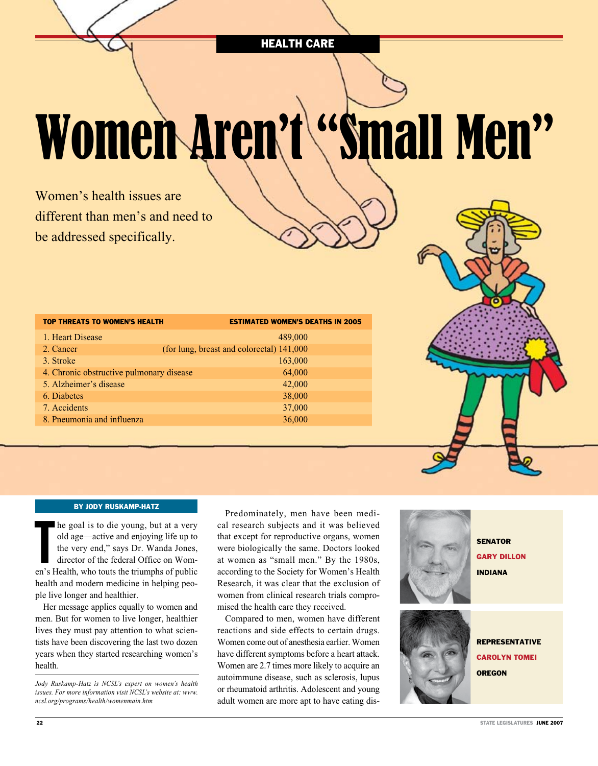HEALTH CARE

# Women Aren't "Small Men"

Women's health issues are different than men's and need to be addressed specifically.

| <b>TOP THREATS TO WOMEN'S HEALTH</b>     | <b>ESTIMATED WOMEN'S DEATHS IN 2005</b>   |
|------------------------------------------|-------------------------------------------|
| 1. Heart Disease                         | 489,000                                   |
| 2. Cancer                                | (for lung, breast and colorectal) 141,000 |
| 3. Stroke                                | 163,000                                   |
| 4. Chronic obstructive pulmonary disease | 64,000                                    |
| 5. Alzheimer's disease                   | 42,000                                    |
| 6. Diabetes                              | 38,000                                    |
| 7. Accidents                             | 37,000                                    |
| 8. Pneumonia and influenza               | 36,000                                    |
|                                          |                                           |



## By Jody Ruskamp-Hatz

In the goal is to die young, but at a very<br>old age—active and enjoying life up to<br>the very end," says Dr. Wanda Jones,<br>director of the federal Office on Wom-<br>en's Health, who touts the triumphs of public he goal is to die young, but at a very old age—active and enjoying life up to the very end," says Dr. Wanda Jones, director of the federal Office on Womhealth and modern medicine in helping people live longer and healthier.

Her message applies equally to women and men. But for women to live longer, healthier lives they must pay attention to what scientists have been discovering the last two dozen years when they started researching women's health.

*Jody Ruskamp-Hatz is NCSL's expert on women's health issues. For more information visit NCSL's website at: www. ncsl.org/programs/health/womenmain.htm*

Predominately, men have been medical research subjects and it was believed that except for reproductive organs, women were biologically the same. Doctors looked at women as "small men." By the 1980s, according to the Society for Women's Health Research, it was clear that the exclusion of women from clinical research trials compromised the health care they received.

Compared to men, women have different reactions and side effects to certain drugs. Women come out of anesthesia earlier. Women have different symptoms before a heart attack. Women are 2.7 times more likely to acquire an autoimmune disease, such as sclerosis, lupus or rheumatoid arthritis. Adolescent and young adult women are more apt to have eating dis-



carolyn tomei

**OREGON**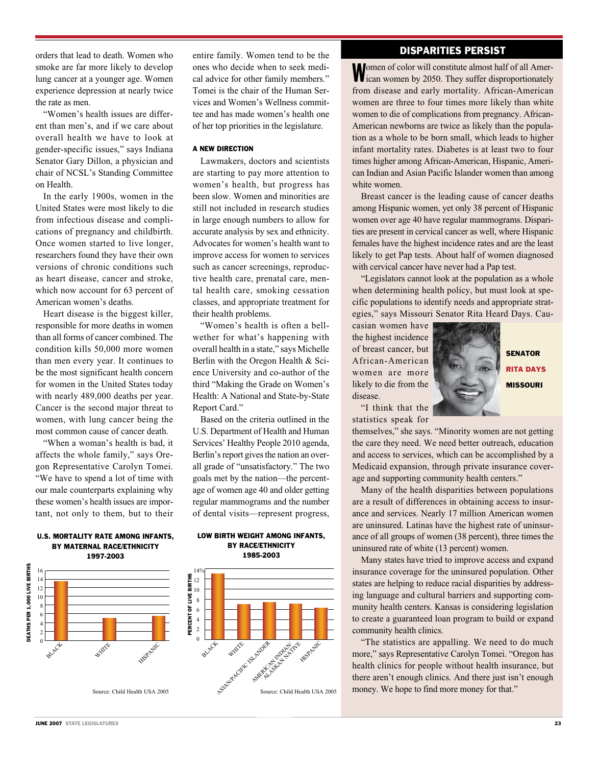orders that lead to death. Women who smoke are far more likely to develop lung cancer at a younger age. Women experience depression at nearly twice the rate as men.

"Women's health issues are different than men's, and if we care about overall health we have to look at gender-specific issues," says Indiana Senator Gary Dillon, a physician and chair of NCSL's Standing Committee on Health.

In the early 1900s, women in the United States were most likely to die from infectious disease and complications of pregnancy and childbirth. Once women started to live longer, researchers found they have their own versions of chronic conditions such as heart disease, cancer and stroke, which now account for 63 percent of American women's deaths.

Heart disease is the biggest killer, responsible for more deaths in women than all forms of cancer combined. The condition kills 50,000 more women than men every year. It continues to be the most significant health concern for women in the United States today with nearly 489,000 deaths per year. Cancer is the second major threat to women, with lung cancer being the most common cause of cancer death.

"When a woman's health is bad, it affects the whole family," says Oregon Representative Carolyn Tomei. "We have to spend a lot of time with our male counterparts explaining why these women's health issues are important, not only to them, but to their

1997-2003 DEATHS PER 1,000 LIVE BIRTHS Deaths per 1,000 Live Births 16 14 12 10 8 6 4 2 BLACK WHITE **HISPARIC** 0

entire family. Women tend to be the ones who decide when to seek medical advice for other family members." Tomei is the chair of the Human Services and Women's Wellness committee and has made women's health one of her top priorities in the legislature.

#### A NEW DIRECTION

Lawmakers, doctors and scientists are starting to pay more attention to women's health, but progress has been slow. Women and minorities are still not included in research studies in large enough numbers to allow for accurate analysis by sex and ethnicity. Advocates for women's health want to improve access for women to services such as cancer screenings, reproductive health care, prenatal care, mental health care, smoking cessation classes, and appropriate treatment for their health problems.

"Women's health is often a bellwether for what's happening with overall health in a state," says Michelle Berlin with the Oregon Health & Science University and co-author of the third "Making the Grade on Women's Health: A National and State-by-State Report Card."

Based on the criteria outlined in the U.S. Department of Health and Human Services' Healthy People 2010 agenda, Berlin's report gives the nation an overall grade of "unsatisfactory." The two goals met by the nation—the percentage of women age 40 and older getting regular mammograms and the number of dental visits—represent progress,

Low Birth Weight Among Infants, by Race/Ethnicity

1985-2003 14 %PERCENT OF LIVE BIRTHS Percent of Live Births 12 10 8 6 4 2  $\overline{0}$ **HISPANIC** Source: Child Health USA 2005 Pacific Health USA 2005 **AMERICAN INDIANA** 

# DISPARITIES PERSIST

Women of color will constitute almost half of all Amer-<br>ican women by 2050. They suffer disproportionately from disease and early mortality. African-American women are three to four times more likely than white women to die of complications from pregnancy. African-American newborns are twice as likely than the population as a whole to be born small, which leads to higher infant mortality rates. Diabetes is at least two to four times higher among African-American, Hispanic, American Indian and Asian Pacific Islander women than among white women.

Breast cancer is the leading cause of cancer deaths among Hispanic women, yet only 38 percent of Hispanic women over age 40 have regular mammograms. Disparities are present in cervical cancer as well, where Hispanic females have the highest incidence rates and are the least likely to get Pap tests. About half of women diagnosed with cervical cancer have never had a Pap test.

"Legislators cannot look at the population as a whole when determining health policy, but must look at specific populations to identify needs and appropriate strategies," says Missouri Senator Rita Heard Days. Cau-

casian women have the highest incidence of breast cancer, but African-American women are more likely to die from the disease.

"I think that the



Rita days **MISSOURI** 

statistics speak for

themselves," she says. "Minority women are not getting the care they need. We need better outreach, education and access to services, which can be accomplished by a Medicaid expansion, through private insurance coverage and supporting community health centers."

Many of the health disparities between populations are a result of differences in obtaining access to insurance and services. Nearly 17 million American women are uninsured. Latinas have the highest rate of uninsurance of all groups of women (38 percent), three times the uninsured rate of white (13 percent) women.

Many states have tried to improve access and expand insurance coverage for the uninsured population. Other states are helping to reduce racial disparities by addressing language and cultural barriers and supporting community health centers. Kansas is considering legislation to create a guaranteed loan program to build or expand community health clinics.

"The statistics are appalling. We need to do much more," says Representative Carolyn Tomei. "Oregon has health clinics for people without health insurance, but there aren't enough clinics. And there just isn't enough money. We hope to find more money for that."

# U.S. Mortality Rate Among Infants, by Maternal Race/Ethnicity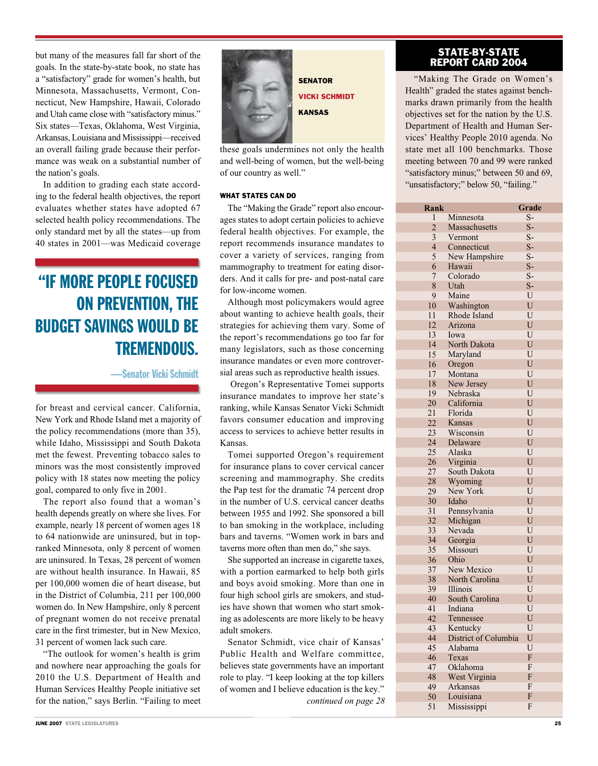but many of the measures fall far short of the goals. In the state-by-state book, no state has a "satisfactory" grade for women's health, but Minnesota, Massachusetts, Vermont, Connecticut, New Hampshire, Hawaii, Colorado and Utah came close with "satisfactory minus." Six states—Texas, Oklahoma, West Virginia, Arkansas, Louisiana and Mississippi—received an overall failing grade because their performance was weak on a substantial number of the nation's goals.

In addition to grading each state according to the federal health objectives, the report evaluates whether states have adopted 67 selected health policy recommendations. The only standard met by all the states—up from 40 states in 2001—was Medicaid coverage

# "IF MORE PEOPLE FOCUSED ON PREVENTION, THE BUDGET SAVINGS WOULD BE TREMENDOUS.

—Senator Vicki Schmidt

for breast and cervical cancer. California, New York and Rhode Island met a majority of the policy recommendations (more than 35), while Idaho, Mississippi and South Dakota met the fewest. Preventing tobacco sales to minors was the most consistently improved policy with 18 states now meeting the policy goal, compared to only five in 2001.

The report also found that a woman's health depends greatly on where she lives. For example, nearly 18 percent of women ages 18 to 64 nationwide are uninsured, but in topranked Minnesota, only 8 percent of women are uninsured. In Texas, 28 percent of women are without health insurance. In Hawaii, 85 per 100,000 women die of heart disease, but in the District of Columbia, 211 per 100,000 women do. In New Hampshire, only 8 percent of pregnant women do not receive prenatal care in the first trimester, but in New Mexico, 31 percent of women lack such care.

"The outlook for women's health is grim and nowhere near approaching the goals for 2010 the U.S. Department of Health and Human Services Healthy People initiative set for the nation," says Berlin. "Failing to meet



**SENATOR** vicki schmidt **KANSAS** 

these goals undermines not only the health and well-being of women, but the well-being of our country as well."

## WHAT STATES CAN DO

The "Making the Grade" report also encourages states to adopt certain policies to achieve federal health objectives. For example, the report recommends insurance mandates to cover a variety of services, ranging from mammography to treatment for eating disorders. And it calls for pre- and post-natal care for low-income women.

Although most policymakers would agree about wanting to achieve health goals, their strategies for achieving them vary. Some of the report's recommendations go too far for many legislators, such as those concerning insurance mandates or even more controversial areas such as reproductive health issues.

 Oregon's Representative Tomei supports insurance mandates to improve her state's ranking, while Kansas Senator Vicki Schmidt favors consumer education and improving access to services to achieve better results in Kansas.

Tomei supported Oregon's requirement for insurance plans to cover cervical cancer screening and mammography. She credits the Pap test for the dramatic 74 percent drop in the number of U.S. cervical cancer deaths between 1955 and 1992. She sponsored a bill to ban smoking in the workplace, including bars and taverns. "Women work in bars and taverns more often than men do," she says.

She supported an increase in cigarette taxes, with a portion earmarked to help both girls and boys avoid smoking. More than one in four high school girls are smokers, and studies have shown that women who start smoking as adolescents are more likely to be heavy adult smokers.

Senator Schmidt, vice chair of Kansas' Public Health and Welfare committee, believes state governments have an important role to play. "I keep looking at the top killers of women and I believe education is the key." *continued on page 28*

## state-by-state report card 2004

"Making The Grade on Women's Health" graded the states against benchmarks drawn primarily from the health objectives set for the nation by the U.S. Department of Health and Human Services' Healthy People 2010 agenda. No state met all 100 benchmarks. Those meeting between 70 and 99 were ranked "satisfactory minus;" between 50 and 69, "unsatisfactory;" below 50, "failing."

| Rank           |                      | Grade       |
|----------------|----------------------|-------------|
| 1              | Minnesota            | $S-$        |
| $\overline{2}$ | Massachusetts        | $S-$        |
| 3              | Vermont              | $S-$        |
| 4              | Connecticut          | $S-$        |
| 5              | New Hampshire        | $S-$        |
| 6              | Hawaii               | $S-$        |
| 7              | Colorado             | $S-$        |
| 8              | Utah                 | $S-$        |
| 9              | Maine                | $\mathbf U$ |
| 10             | Washington           | U           |
| 11             | Rhode Island         | U           |
| 12             | Arizona              | U           |
| 13             | Iowa                 | U           |
| 14             | North Dakota         | U           |
| 15             | Maryland             | U           |
| 16             | Oregon               | U           |
| 17             | Montana              | U           |
| 18             | New Jersey           | U           |
| 19             | Nebraska             | U           |
| 20             | California           | U           |
| 21             | Florida              | U           |
| 22             | Kansas               | U           |
| 23             | Wisconsin            | U           |
| 24             | Delaware             | U           |
| 25             | Alaska               | U           |
| 26             | Virginia             | U           |
| 27             | South Dakota         | U           |
| 28             | Wyoming              | U           |
| 29             | New York             | U           |
| 30             | Idaho                | U           |
| 31             | Pennsylvania         | U           |
| 32             | Michigan             | U           |
| 33             | Nevada               | U           |
| 34             | Georgia              | U           |
| 35             | Missouri             | U           |
| 36             | Ohio                 | U           |
| 37             | New Mexico           | U           |
| 38             | North Carolina       | U           |
| 39             | Illinois             | U           |
| 40             | South Carolina       | ${\bf U}$   |
| 41             | Indiana              | U           |
| 42             | Tennessee            | U           |
| 43             | Kentucky             | U           |
|                |                      |             |
| 44             | District of Columbia | ${\bf U}$   |
| 45             | Alabama              | U           |
| 46             | Texas                | F           |
| 47             | Oklahoma             | F           |
| 48             | West Virginia        | F           |
| 49             | Arkansas             | F           |
| 50             | Louisiana            | F           |
| 51             | Mississippi          | F           |